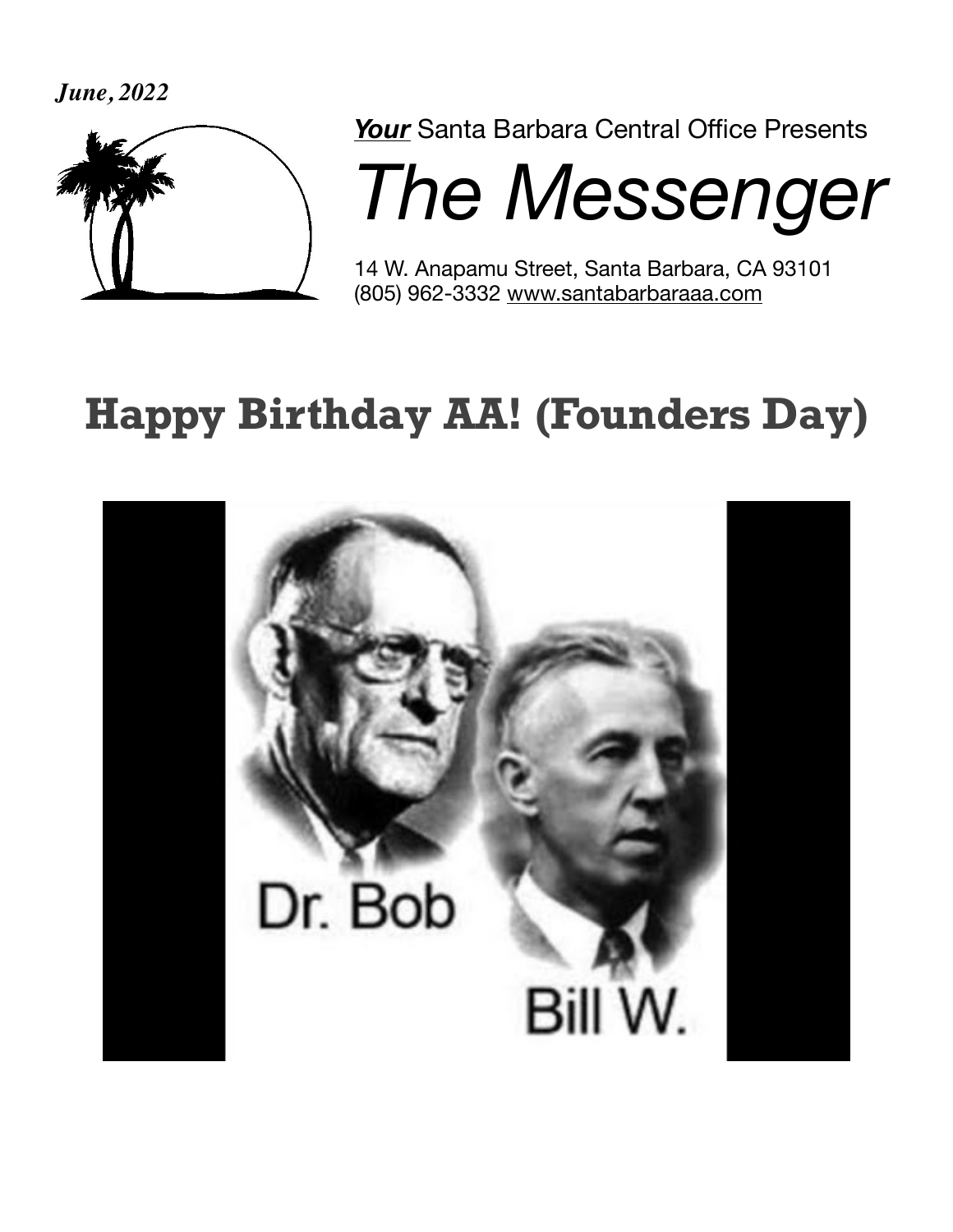*June, 2022*



*Your* Santa Barbara Central Office Presents

**The Messenger** 

14 W. Anapamu Street, Santa Barbara, CA 93101 (805) 962-3332 [www.santabarbaraaa.com](http://www.santabarbaraaa.com)

## **Happy Birthday AA! (Founders Day)**

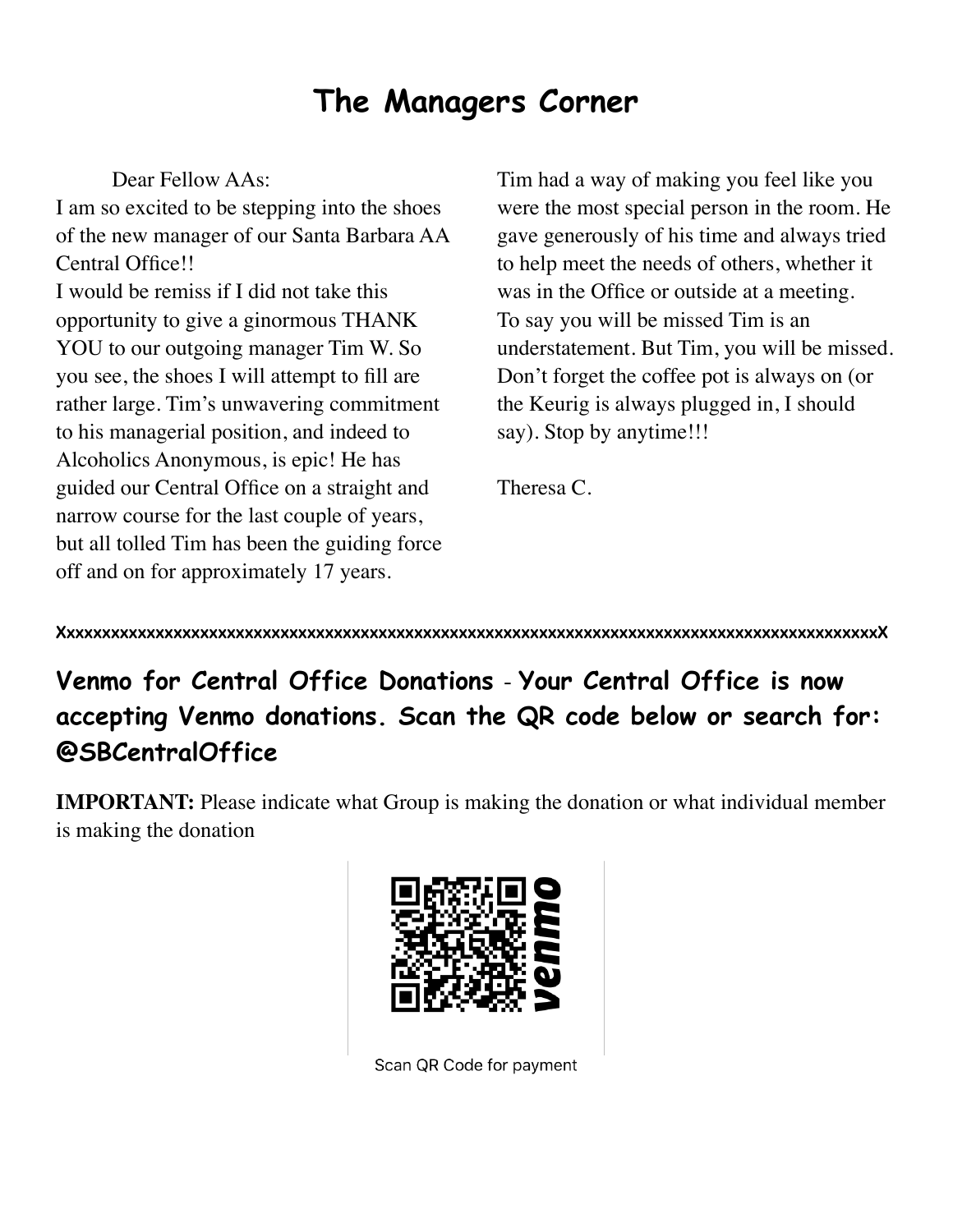#### **The Managers Corner**

Dear Fellow AAs:

I am so excited to be stepping into the shoes of the new manager of our Santa Barbara AA Central Office!! I would be remiss if I did not take this opportunity to give a ginormous THANK YOU to our outgoing manager Tim W. So you see, the shoes I will attempt to fill are rather large. Tim's unwavering commitment to his managerial position, and indeed to Alcoholics Anonymous, is epic! He has guided our Central Office on a straight and narrow course for the last couple of years, but all tolled Tim has been the guiding force off and on for approximately 17 years.

Tim had a way of making you feel like you were the most special person in the room. He gave generously of his time and always tried to help meet the needs of others, whether it was in the Office or outside at a meeting. To say you will be missed Tim is an understatement. But Tim, you will be missed. Don't forget the coffee pot is always on (or the Keurig is always plugged in, I should say). Stop by anytime!!!

Theresa C.

**XxxxxxxxxxxxxxxxxxxxxxxxxxxxxxxxxxxxxxxxxxxxxxxxxxxxxxxxxxxxxxxxxxxxxxxxxxxxxxxxxxxxxxxxxxxxX**

**Venmo for Central Office Donations** - **Your Central Office is now accepting Venmo donations. Scan the QR code below or search for: @SBCentralOffice** 

**IMPORTANT:** Please indicate what Group is making the donation or what individual member is making the donation



Scan QR Code for payment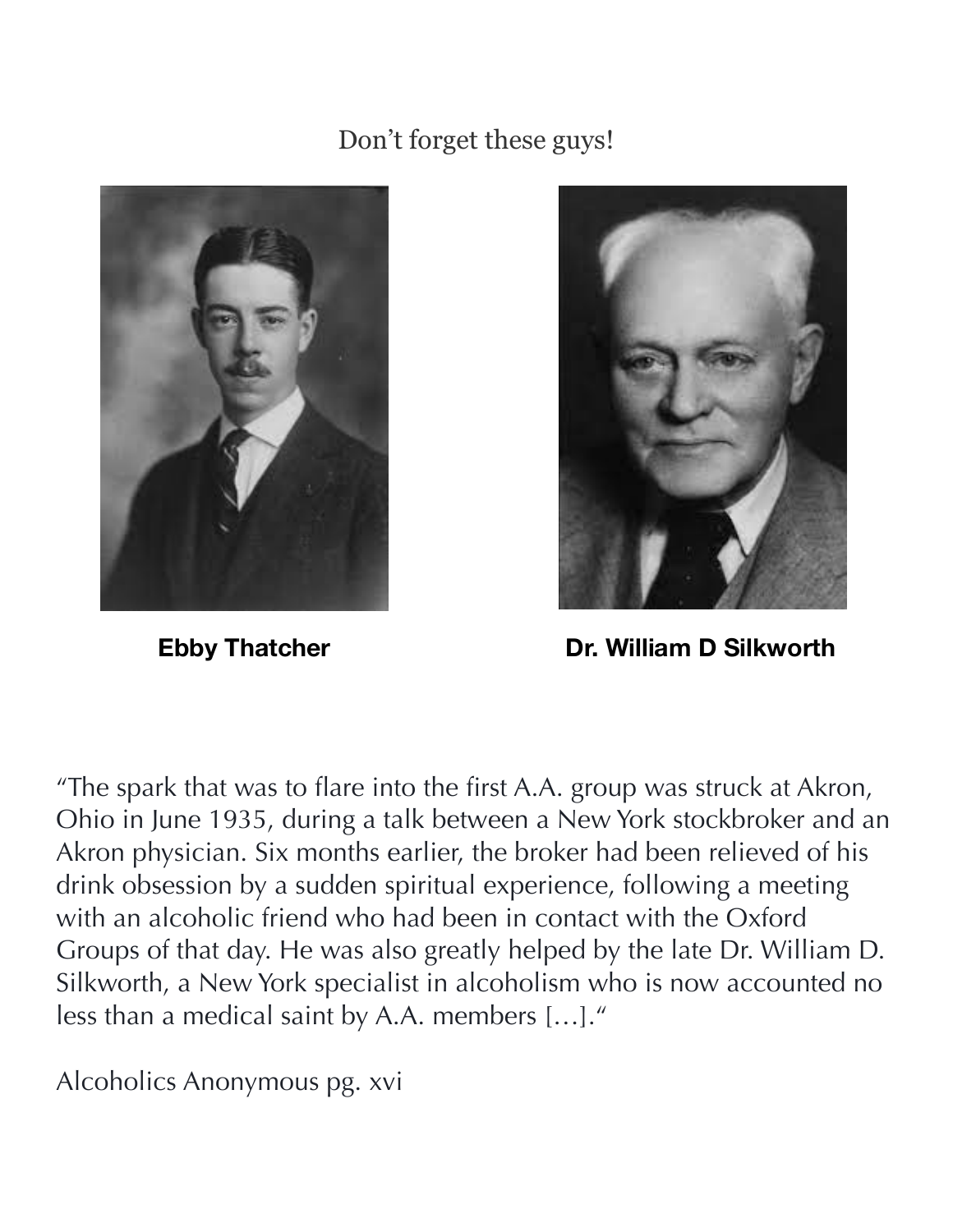#### Don't forget these guys!





**Ebby Thatcher**  Dr. William D Silkworth

"The spark that was to flare into the first A.A. group was struck at Akron, Ohio in June 1935, during a talk between a New York stockbroker and an Akron physician. Six months earlier, the broker had been relieved of his drink obsession by a sudden spiritual experience, following a meeting with an alcoholic friend who had been in contact with the Oxford Groups of that day. He was also greatly helped by the late Dr. William D. Silkworth, a New York specialist in alcoholism who is now accounted no less than a medical saint by A.A. members […]."

Alcoholics Anonymous pg. xvi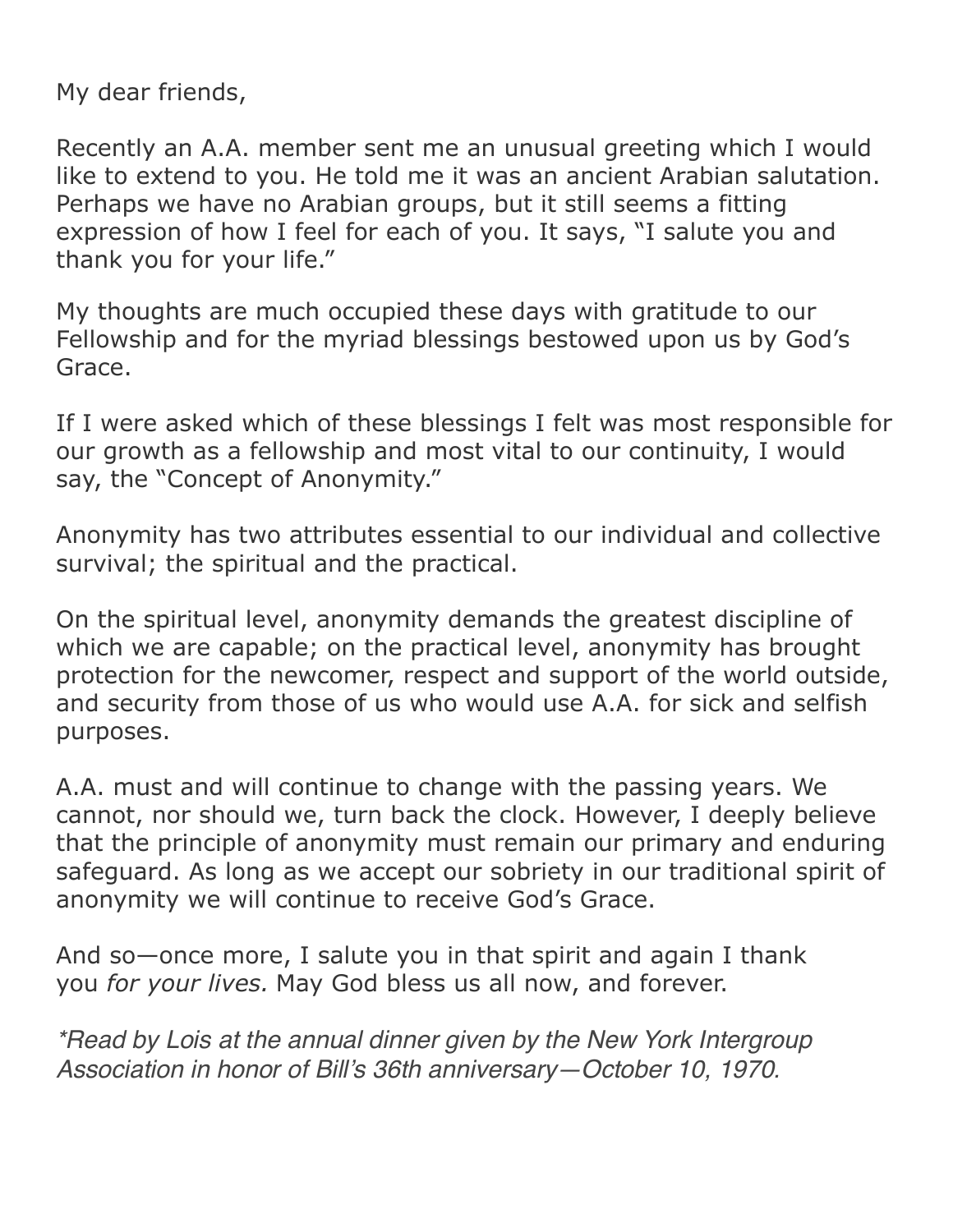My dear friends,

Recently an A.A. member sent me an unusual greeting which I would like to extend to you. He told me it was an ancient Arabian salutation. Perhaps we have no Arabian groups, but it still seems a fitting expression of how I feel for each of you. It says, "I salute you and thank you for your life."

My thoughts are much occupied these days with gratitude to our Fellowship and for the myriad blessings bestowed upon us by God's Grace.

If I were asked which of these blessings I felt was most responsible for our growth as a fellowship and most vital to our continuity, I would say, the "Concept of Anonymity."

Anonymity has two attributes essential to our individual and collective survival; the spiritual and the practical.

On the spiritual level, anonymity demands the greatest discipline of which we are capable; on the practical level, anonymity has brought protection for the newcomer, respect and support of the world outside, and security from those of us who would use A.A. for sick and selfish purposes.

A.A. must and will continue to change with the passing years. We cannot, nor should we, turn back the clock. However, I deeply believe that the principle of anonymity must remain our primary and enduring safeguard. As long as we accept our sobriety in our traditional spirit of anonymity we will continue to receive God's Grace.

And so—once more, I salute you in that spirit and again I thank you *for your lives.* May God bless us all now, and forever.

*\*Read by Lois at the annual dinner given by the New York Intergroup Association in honor of Bill's 36th anniversary—October 10, 1970.*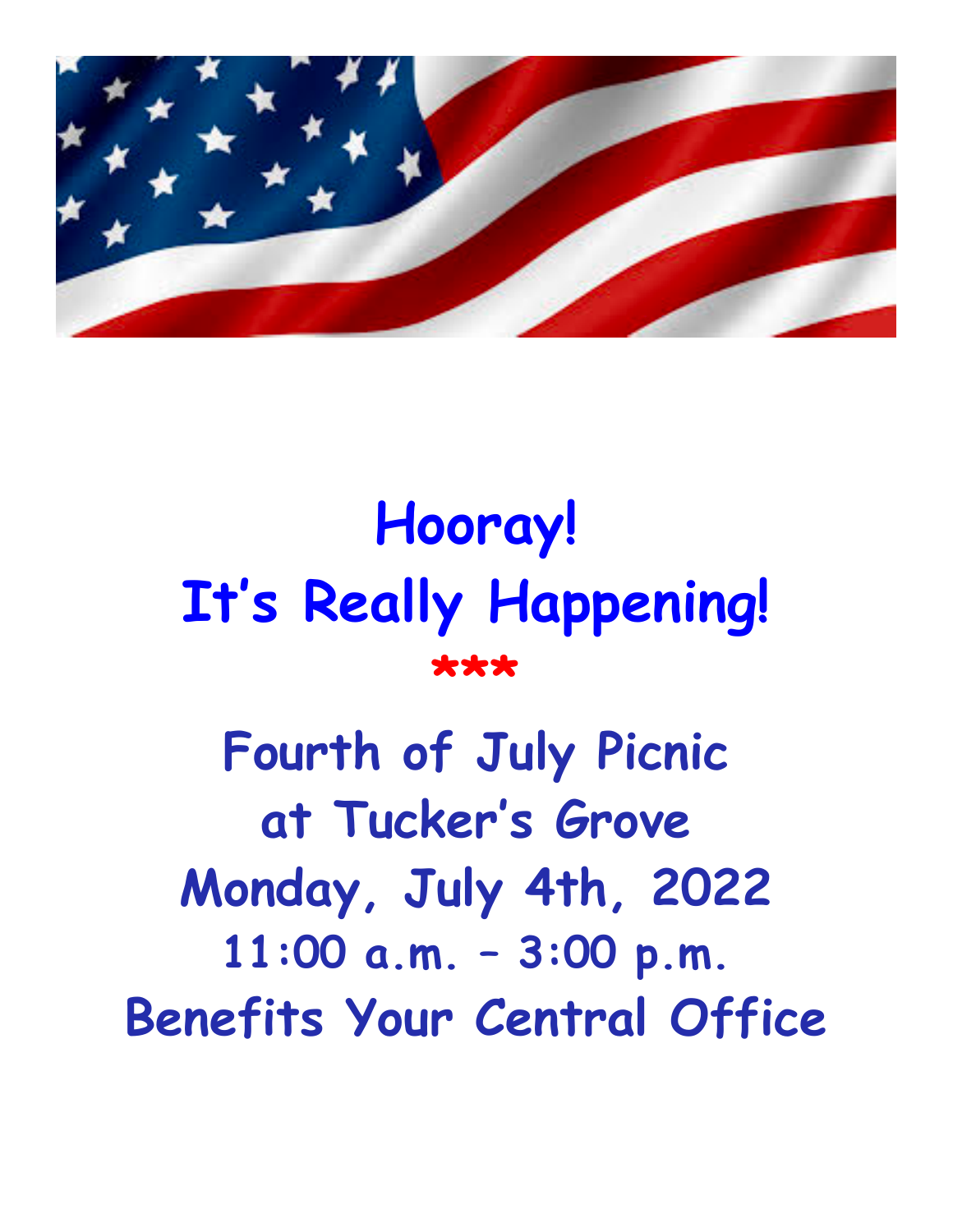

# **Hooray! It's Really Happening! \*\*\***

**Fourth of July Picnic at Tucker's Grove Monday, July 4th, 2022 11:00 a.m. – 3:00 p.m. Benefits Your Central Office**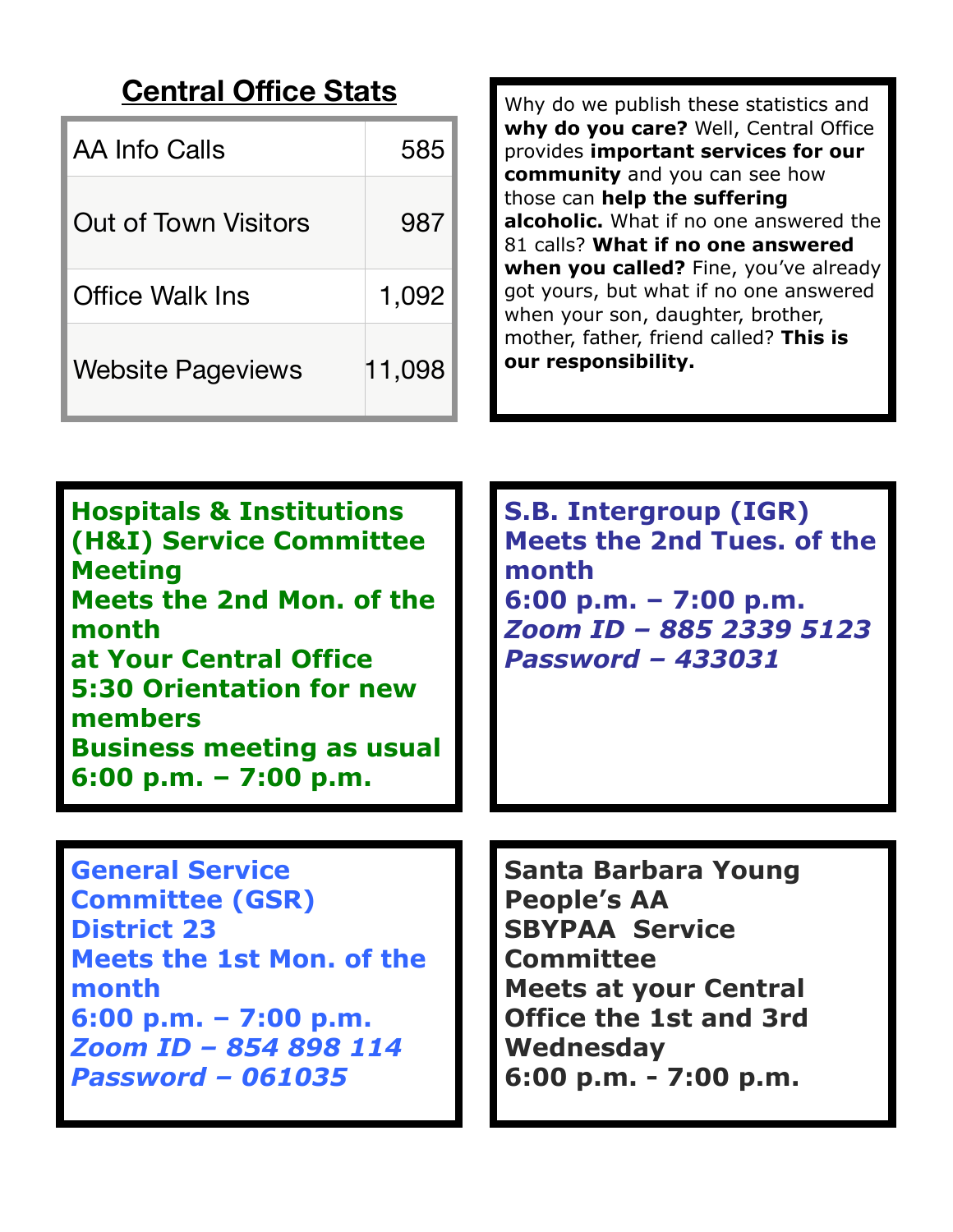#### **Central Office Stats**

| AA Info Calls            | 585    |
|--------------------------|--------|
| Out of Town Visitors     | 987    |
| Office Walk Ins          | 1,092  |
| <b>Website Pageviews</b> | 11,098 |

Why do we publish these statistics and **why do you care?** Well, Central Office provides **important services for our community** and you can see how those can **help the suffering alcoholic.** What if no one answered the 81 calls? **What if no one answered when you called?** Fine, you've already got yours, but what if no one answered when your son, daughter, brother, mother, father, friend called? **This is our responsibility.**

| <b>Hospitals &amp; Institutions</b><br><b>(H&amp;I) Service Committee</b><br><b>Meeting</b><br>Meets the 2nd Mon. of the<br>month<br>at Your Central Office<br><b>5:30 Orientation for new</b><br>members<br><b>Business meeting as usual</b><br>$6:00$ p.m. $-7:00$ p.m. | <b>S.B. Intergroup (IGR)</b><br><b>Meets the 2nd Tues, of the</b><br>month<br>$6:00$ p.m. $-7:00$ p.m.<br>Zoom ID - 885 2339 5123<br><b>Password - 433031</b>                                 |
|---------------------------------------------------------------------------------------------------------------------------------------------------------------------------------------------------------------------------------------------------------------------------|-----------------------------------------------------------------------------------------------------------------------------------------------------------------------------------------------|
| <b>General Service</b><br><b>Committee (GSR)</b><br><b>District 23</b><br>Meets the 1st Mon. of the<br>month<br>$6:00$ p.m. $-7:00$ p.m.<br>Zoom ID - 854 898 114<br><b>Password - 061035</b>                                                                             | Santa Barbara Young<br><b>People's AA</b><br><b>SBYPAA Service</b><br><b>Committee</b><br><b>Meets at your Central</b><br><b>Office the 1st and 3rd</b><br>Wednesday<br>6:00 p.m. - 7:00 p.m. |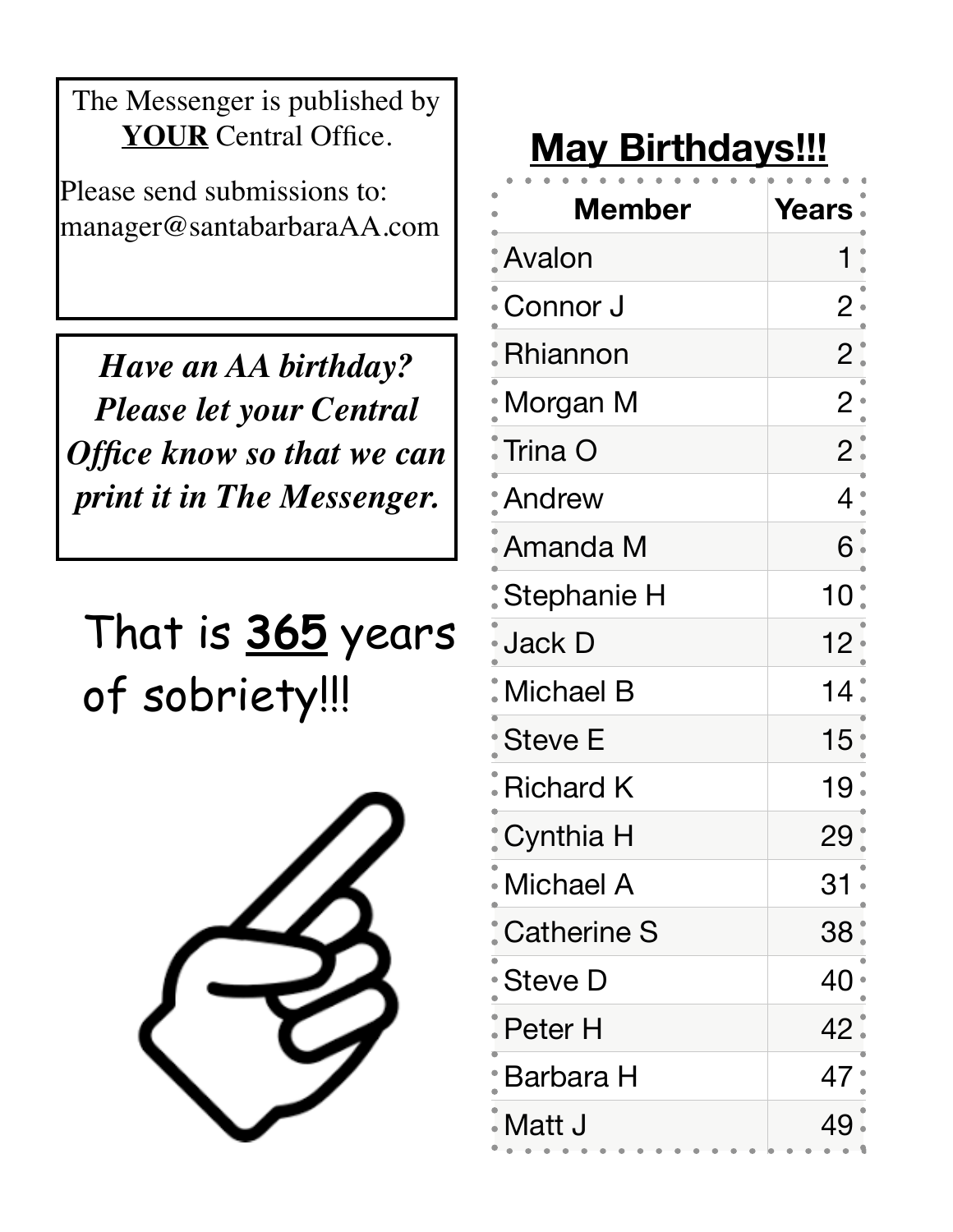The Messenger is published by **YOUR** Central Office.

Please send submissions to: manager@santabarbaraAA.com

*Have an AA birthday? Please let your Central Office know so that we can print it in The Messenger.* 

## That is **365** years of sobriety!!!



### **May Birthdays!!!**

| <b>Member</b>          | Years          |
|------------------------|----------------|
| Avalon                 |                |
| Connor J               | $\overline{2}$ |
| Rhiannon               | $2$ .          |
| • Morgan M             | $\mathbf{2}$   |
| $\blacksquare$ Trina O | 2.             |
| <b>Andrew</b>          | 4              |
| • Amanda M             | 6 •            |
| Stephanie H            | 10             |
| • Jack D               | 12             |
| $\dot{}$ Michael B     | 14             |
| • Steve E              | 15             |
| <b>Richard K</b>       | 19             |
| : Cynthia H            | 29             |
| • Michael A            | 31             |
| <b>Catherine S</b>     | 38             |
| · Steve D              | 40             |
| . Peter H              | 42             |
| Barbara H              | 47             |
| Matt J                 | 49             |